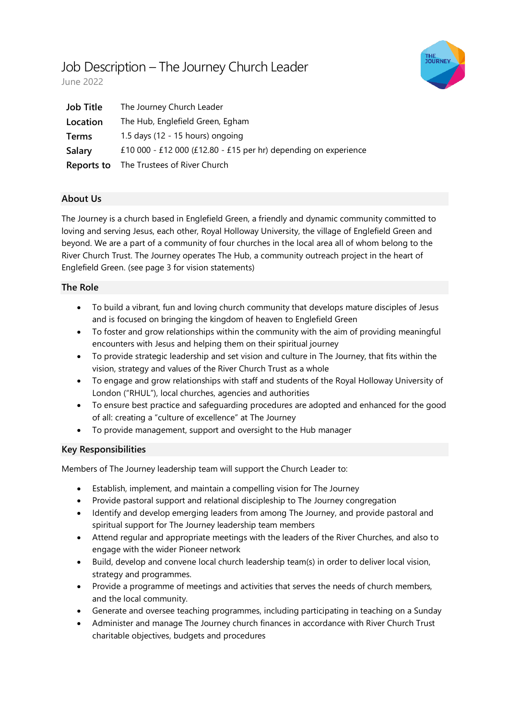# Job Description – The Journey Church Leader



June 2022

| <b>Job Title</b> | The Journey Church Leader                                       |
|------------------|-----------------------------------------------------------------|
| Location         | The Hub, Englefield Green, Egham                                |
| <b>Terms</b>     | 1.5 days (12 - 15 hours) ongoing                                |
| Salary           | £10 000 - £12 000 (£12.80 - £15 per hr) depending on experience |
| Reports to       | The Trustees of River Church                                    |

# **About Us**

The Journey is a church based in Englefield Green, a friendly and dynamic community committed to loving and serving Jesus, each other, Royal Holloway University, the village of Englefield Green and beyond. We are a part of a community of four churches in the local area all of whom belong to the River Church Trust. The Journey operates The Hub, a community outreach project in the heart of Englefield Green. (see page 3 for vision statements)

## **The Role**

- To build a vibrant, fun and loving church community that develops mature disciples of Jesus and is focused on bringing the kingdom of heaven to Englefield Green
- To foster and grow relationships within the community with the aim of providing meaningful encounters with Jesus and helping them on their spiritual journey
- To provide strategic leadership and set vision and culture in The Journey, that fits within the vision, strategy and values of the River Church Trust as a whole
- To engage and grow relationships with staff and students of the Royal Holloway University of London ("RHUL"), local churches, agencies and authorities
- To ensure best practice and safeguarding procedures are adopted and enhanced for the good of all: creating a "culture of excellence" at The Journey
- To provide management, support and oversight to the Hub manager

## **Key Responsibilities**

Members of The Journey leadership team will support the Church Leader to:

- Establish, implement, and maintain a compelling vision for The Journey
- Provide pastoral support and relational discipleship to The Journey congregation
- Identify and develop emerging leaders from among The Journey, and provide pastoral and spiritual support for The Journey leadership team members
- Attend regular and appropriate meetings with the leaders of the River Churches, and also to engage with the wider Pioneer network
- Build, develop and convene local church leadership team(s) in order to deliver local vision, strategy and programmes.
- Provide a programme of meetings and activities that serves the needs of church members, and the local community.
- Generate and oversee teaching programmes, including participating in teaching on a Sunday
- Administer and manage The Journey church finances in accordance with River Church Trust charitable objectives, budgets and procedures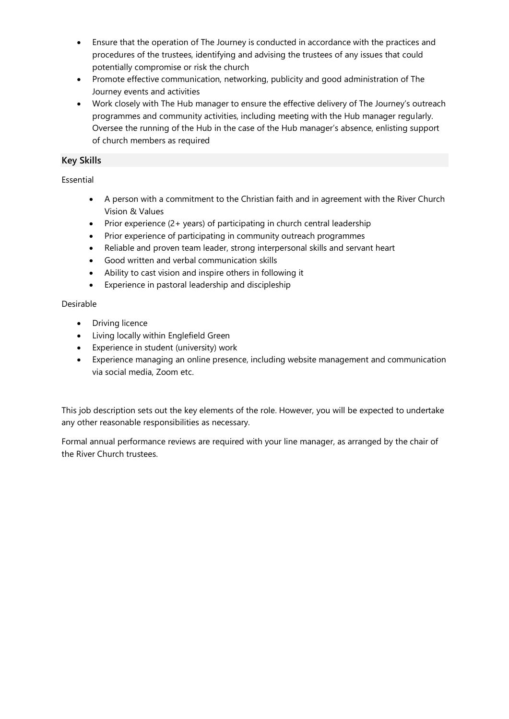- Ensure that the operation of The Journey is conducted in accordance with the practices and procedures of the trustees, identifying and advising the trustees of any issues that could potentially compromise or risk the church
- Promote effective communication, networking, publicity and good administration of The Journey events and activities
- Work closely with The Hub manager to ensure the effective delivery of The Journey's outreach programmes and community activities, including meeting with the Hub manager regularly. Oversee the running of the Hub in the case of the Hub manager's absence, enlisting support of church members as required

# **Key Skills**

## Essential

- A person with a commitment to the Christian faith and in agreement with the River Church Vision & Values
- Prior experience (2+ years) of participating in church central leadership
- Prior experience of participating in community outreach programmes
- Reliable and proven team leader, strong interpersonal skills and servant heart
- Good written and verbal communication skills
- Ability to cast vision and inspire others in following it
- Experience in pastoral leadership and discipleship

## Desirable

- Driving licence
- Living locally within Englefield Green
- Experience in student (university) work
- Experience managing an online presence, including website management and communication via social media, Zoom etc.

This job description sets out the key elements of the role. However, you will be expected to undertake any other reasonable responsibilities as necessary.

Formal annual performance reviews are required with your line manager, as arranged by the chair of the River Church trustees.